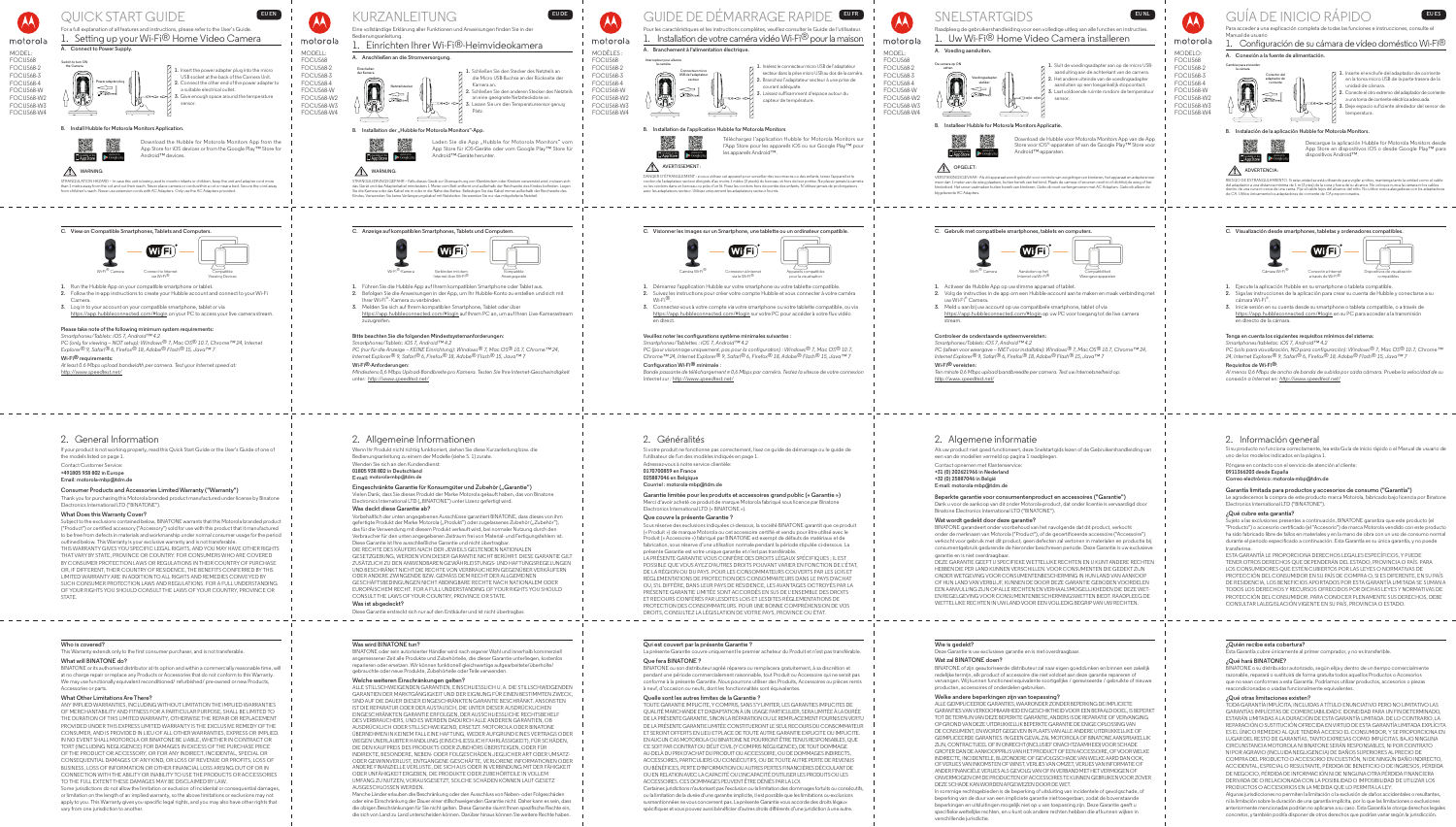

motorola



# QUICK START GUIDE **EUEN** For a full explanation of all features and instructions, please refer to the User's Guide.

# 1. Setting up your Wi-Fi® Home Video Camera **A. Connect to Power Supply.Switch to turn ON the Camera** 1. Insert the power adapter plug into the micro USB socket at the back of the Camera Unit. **Power adapter plug 2.** Connect the other end of the power adapter to  $\Rightarrow$ a suitable electrical outlet. **3.** Give enough space around the temperature sensor.

**B. Install Hubble for Motorola Monitors Application.**



- **1.** Run the Hubble App on your compatible smartphone or tablet.
- **2.** Follow the in-app instructions to create your Hubble account and connect to your Wi-Fi Camera.
- **3.** Log in to your account on your compatible smartphone, tablet or via https://app.hubbleconnected.com/#login on your PC to access your live camera stream.

Download the Hubble for Motorola Monitors App from the App Store for iOS devices or from the Google Play™ Store for Android™ devices.

STRANGULATION HAZARD – In case this unit is being used to monitor infants or children, keep the unit and adapter cord more than 1 metre away from the cot and out their reach. Never place camera or cords within a cot or near a bed. Secure the cord away from children's reach. Never use extension cords with AC Adapters. Only use the AC Adapters provided.

**C. View on Compatible Smartphones, Tablets and Computers.** Wi-Fi<sup>®</sup> Camera via Wi-Fi® Compatible

**Please take note of the following minimum system requirements:**

*Smartphones/Tablets: iOS 7, Android™ 4.2 PC (only for viewing – NOT setup): Windows® 7, Mac OS® 10.7, Chrome™ 24, Internet* 

*Explorer® 9, Safari® 6, Firefox® 18, Adobe® Flash® 15, Java™ 7* **Wi-Fi® requirements:**

*At least 0.6 Mbps upload bandwidth per camera. Test your Internet speed at: http://www.speedtest.net/*

Viewing Devices

# **WARNING:**

# 2. General Information

If your product is not working properly, read this Quick Start Guide or the User's Guide of one of the models listed on page 1.

### Contact Customer Service: **+491805 938 802 in Europe**

**Email: motorola-mbp@tdm.de**

# **Consumer Products and Accessories Limited Warranty ("Warranty")**

Thank you for purchasing this Motorola branded product manufactured under license by Binatone Electronics International LTD ("BINATONE").

# **What Does this Warranty Cover?**

Subject to the exclusions contained below, BINATONE warrants that this Motorola branded product ("Product") or certified accessory ("Accessory") sold for use with this product that it manufactured to be free from defects in materials and workmanship under normal consumer usage for the period outlined below. This Warranty is your exclusive warranty and is not transferable.

Laden Sie die App "Hubble for Motorola Monitors" vom App Store für iOS-Geräte oder vom Google Play™ Store für Android™-Geräte herunter.

# **WARNUNG:**

THIS WARRANTY GIVES YOU SPECIFIC LEGAL RIGHTS, AND YOU MAY HAVE OTHER RIGHTS THAT VARY BY STATE, PROVINCE OR COUNTRY. FOR CONSUMERS WHO ARE COVERED BY CONSUMER PROTECTION LAWS OR REGULATIONS IN THEIR COUNTRY OF PURCHASE OR, IF DIFFERENT, THEIR COUNTRY OF RESIDENCE, THE BENEFITS CONFERRED BY THIS LIMITED WARRANTY ARE IN ADDITION TO ALL RIGHTS AND REMEDIES CONVEYED BY SUCH CONSUMER PROTECTION LAWS AND REGULATIONS. FOR A FULL UNDERSTANDING OF YOUR RIGHTS YOU SHOULD CONSULT THE LAWS OF YOUR COUNTRY, PROVINCE OR STATE.

## **Who is covered?**

This Warranty extends only to the first consumer purchaser, and is not transferable. **What will BINATONE do?**

BINATONE or its authorised distributor at its option and within a commercially reasonable time, will at no charge repair or replace any Products or Accessories that do not conform to this Warranty. We may use functionally equivalent reconditioned/ refurbished/ pre-owned or new Products, Accessories or parts.

### **What Other Limitations Are There?**

## Eingeschränkte Garantie für Konsumgüter und Zubehör ("Garantie") Vielen Dank, dass Sie dieses Produkt der Marke Motorola gekauft haben, das von Binatone Electronics International LTD ("BINATONE") unter Lizenz gefertigt wird. **Was deckt diese Garantie ab?**

ANY IMPLIED WARRANTIES, INCLUDING WITHOUT LIMITATION THE IMPLIED WARRANTIES OF MERCHANTABILITY AND FITNESS FOR A PARTICULAR PURPOSE, SHALL BE LIMITED TO THE DURATION OF THIS LIMITED WARRANTY, OTHERWISE THE REPAIR OR REPLACEMENT PROVIDED UNDER THIS EXPRESS LIMITED WARRANTY IS THE EXCLUSIVE REMEDY OF THE CONSUMER, AND IS PROVIDED IN LIEU OF ALL OTHER WARRANTIES, EXPRESS OR IMPLIED. IN NO EVENT SHALL MOTOROLA OR BINATONE BE LIABLE, WHETHER IN CONTRACT OR TORT (INCLUDING NEGLIGENCE) FOR DAMAGES IN EXCESS OF THE PURCHASE PRICE OF THE PRODUCT OR ACCESSORY, OR FOR ANY INDIRECT, INCIDENTAL, SPECIAL OR CONSEQUENTIAL DAMAGES OF ANY KIND, OR LOSS OF REVENUE OR PROFITS, LOSS OF BUSINESS, LOSS OF INFORMATION OR OTHER FINANCIAL LOSS ARISING OUT OF OR IN CONNECTION WITH THE ABILITY OR INABILITY TO USE THE PRODUCTS OR ACCESSORIES TO THE FULL EXTENT THESE DAMAGES MAY BE DISCLAIMED BY LAW.

Some jurisdictions do not allow the limitation or exclusion of incidental or consequential damages, or limitation on the length of an implied warranty, so the above limitations or exclusions may not apply to you. This Warranty gives you specific legal rights, and you may also have other rights that vary from one jurisdiction to another.

MODELL: FOCUS68 FOCUS68-2 FOCUS68-3 FOCUS68-4 FOCUS68-W FOCUS68-W2 FOCUS68-W3 FOCUS68-W4

 $\Lambda$ 

motorola



# Eine vollständige Erklärung aller Funktionen und Anweisungen finden Sie in der

# Bedienungsanleitung. 1. Einrichten Ihrer Wi-Fi®-Heimvideokamera

# motorola MODÈLES : FOCUS68

## die Micro USB-Buchse an der Rückseite der Kamera an. **2.** Schließen Sie den anderen Stecker des Netzteils an eine geeignete Netzsteckdose an. **3.** Lassen Sie um den Temperatursensor genug Platz.



# B. Installation der "Hubble for Motorola Monitors"-App.



# **A. Anschließen an die Stromversorgung. 1.** Schließen Sie den Stecker des Netzteils an **Einschalten der Kamera**

STRANGULIERUNGSGEFAHR – Falls dieses Gerät zur Überwachung von Kleinkindern oder Kindern verwendet wird, müssen sich das Gerät und das Adapterkabel mindestens 1 Meter vom Bett entfernt und außerhalb der Reichweite des Kindes befinden. Legen .<br>Sie Kamera oder das Kabel nie in oder in die Nähe des Bettes. Befestigen Sie das Kabel immer außerhalb der Reichweite des Kindes. Verwenden Sie keine Verlängerungskabel mit Netzteilen. Verwenden Sie nur das mitgelieferte Netzteil.



# **C. Anzeige auf kompatiblen Smartphones, Tablets und Computern.**

- **1.** Führen Sie die Hubble App auf Ihrem kompatiblen Smartphone oder Tablet aus.
- **2.** Befolgen Sie die Anweisungen in der App, um Ihr Hubble-Konto zu erstellen und sich mit Ihrer Wi-Fi® - Kamera zu verbinden.
- **3.** Melden Sie sich auf Ihrem kompatiblen Smartphone, Tablet oder über https://app.hubbleconnected.com/#login auf Ihrem PC an, um auf Ihren Live-Kamerastream zuzugreifen.

# **Bitte beachten Sie die folgenden Mindestsystemanforderungen:**

*Smartphones/Tablets: iOS 7, Android™ 4.2 PC (nur für die Anzeige – KEINE Einrichtung): Windows® 7, Mac OS® 10.7, Chrome™ 24, Internet Explorer® 9, Safari® 6, Firefox® 18, Adobe® Flash® 15, Java™ 7*

# **Wi-Fi®-Anforderungen:**

*Mindestens 0,6 Mbps Upload-Bandbreite pro Kamera. Testen Sie Ihre Internet-Geschwindigkeit unter: http://www.speedtest.net/*



# 2. Allgemeine Informationen

Wenn Ihr Produkt nicht richtig funktioniert, ziehen Sie diese Kurzanleitung bzw. die Bedienungsanleitung zu einem der Modelle (siehe S. 1) zurate.

### Wenden Sie sich an den Kundendienst: **01805 938 802 in Deutschland**

**E-mail: motorola-mbp@tdm.de**

Vorbehaltlich der unten angegebenen Ausschlüsse garantiert BINATONE, dass dieses von ihm gefertigte Produkt der Marke Motorola ("Produkt") oder zugelassenes Zubehör ("Zubehör"), das für die Verwendung mit diesem Produkt verkauft wird, bei normaler Nutzung durch den Verbraucher für den unten angegebenen Zeitraum frei von Material- und Fertigungsfehlern ist. Diese Garantie ist Ihre ausschließliche Garantie und nicht übertragbar.

DIE RECHTE DES KÄUFERS NACH DER JEWEILS GELTENDEN NATIONALEN GESETZGEBUNG, WERDEN VON DIESER GARANTIE NICHT BERÜHRT. DIESE GARANTIE GILT ZUSÄTZLICH ZU DEN ANWENDBAREN GEWÄHRLEISTUNGS- UND HAFTUNGSREGELUNGEN UND BESCHRÄNKT NICHT DIE RECHTE VON VERBRAUCHERN GEGENÜBER VERKÄUFERN ODER ANDERE ZWINGENDE BZW. GEMÄSS DEM RECHT DER ALLGEMEINEN GESCHÄFTSBEDINGUNGEN NICHT ABDINGBARE RECHTE NACH NATIONALEM ODER EUROPÄISCHEM RECHT. FOR A FULL UNDERSTANDING OF YOUR RIGHTS YOU SHOULD CONSULT THE LAWS OF YOUR COUNTRY, PROVINCE OR STATE.

# **Was ist abgedeckt?**

Diese Garantie erstreckt sich nur auf den Erstkäufer und ist nicht übertragbar.

\_\_\_\_\_\_\_\_\_\_\_\_\_\_\_\_\_\_\_\_\_\_\_\_\_\_\_\_\_\_\_\_\_\_\_\_

# **Was wird BINATONE tun?**

BINATONE oder sein autorisierter Händler wird nach eigener Wahl und innerhalb kommerziell angemessener Zeit alle Produkte und Zubehörteile, die dieser Garantie unterliegen, kostenlos reparieren oder ersetzen. Wir können funktionell gleichwertige aufgearbeitete/überholte/ gebrauchte oder neue Produkte, Zubehörteile oder Teile verwenden.

## **Welche weiteren Einschränkungen gelten?**

ALLE STILLSCHWEIGENDEN GARANTIEN, EINSCHLIESSLICH U. A. DIE STILLSCHWEIGENDEN GARANTIEN DER MARKTGÄNGIGKEIT UND DER EIGNUNG FÜR EINEN BESTIMMTEN ZWECK, SIND AUF DIE DAUER DIESER EINGESCHRÄNKTEN GARANTIE BESCHRÄNKT. ANSONSTEN IST DIE REPARATUR ODER DER AUSTAUSCH, DIE UNTER DIESER AUSDRÜCKLICHEN EINGESCHRÄNKTEN GARANTIE ERFOLGEN, DER AUSSCHLIESSLICHE RECHTSBEHELF DES VERBRAUCHERS, UND ES WERDEN DADURCH ALLE ANDEREN GARANTIEN, OB AUSDRÜCKLICH ODER STILLSCHWEIGEND, ERSETZT. MOTOROLA ODER BINATONE ÜBERNEHMEN IN KEINEM FALL EINE HAFTUNG, WEDER AUFGRUND EINES VERTRAGS ODER WEGEN UNERLAUBTER HANDLUNG (EINSCHLIESSLICH FAHRLÄSSIGKEIT), FÜR SCHÄDEN, DIE DEN KAUFPREIS DES PRODUKTS ODER ZUBEHÖRS ÜBERSTEIGEN, ODER FÜR INDIREKTE, BESONDERE, NEBEN- ODER FOLGESCHÄDEN JEGLICHER ART ODER UMSATZ-ODER GEWINNVERLUST, ENTGANGENE GESCHÄFTE, VERLORENE INFORMATIONEN ODER ANDERE FINANZIELLE VERLUSTE, DIE SICH AUS ODER IN VERBINDUNG MIT DER FÄHIGKEIT ODER UNFÄHIGKEIT ERGEBEN, DIE PRODUKTE ODER ZUBEHÖRTEILE IN VOLLEM UMFANG ZU NUTZEN, VORAUSGESETZT, SOLCHE SCHÄDEN KÖNNEN LAUT GESETZ AUSGESCHLOSSEN WERDEN.

Manche Länder erlauben die Beschränkung oder den Ausschluss von Neben- oder Folgeschäden oder eine Einschränkung der Dauer einer stillschweigenden Garantie nicht. Daher kann es sein, dass die obigen Beschränkungen für Sie nicht gelten. Diese Garantie räumt Ihnen spezifische Rechte ein, die sich von Land zu Land unterscheiden können. Darüber hinaus können Sie weitere Rechte haben.



FOCUS68-2 FOCUS68-3 FOCUS68-4 FOCUS68-W FOCUS68-W2 FOCUS68-W3 FOCUS68-W4





# MODELO: FOCUS68 FOCUS68-2

1. Installation de votre caméra vidéo Wi-Fi® pour la maison **A. Branchement à l'alimentation électrique.**

Configuración de su cámara de vídeo doméstico Wi-Fi $^\circledR$ **A. Conexión a la fuente de alimentación.**

### **1.** Insérez le connecteur micro USB de l'adaptateur secteur dans la prise micro USB au dos de la caméra. **2.** Branchez l'adaptateur secteur à une prise de courant adéquate. **3.** Laissez suffisamment d'espace autour du capteur de température.

### **B. Installation de l'application Hubble for Motorola Monitors**

Téléchargez l'application Hubble for Motorola Monitors sur l'App Store pour les appareils iOS ou sur Google Play™ pour

# **AVERTISSEMENT :**



**ADVERTENCIA:** RIESGO DE ESTRANGULAMIENTO. Si esta unidad se está utilizando para vigilar a niños, mantenga tanto la unidad como el cable<br>del adaptador a una distancia mínima de 1 m (3 pies) de la cuna y fuera de su alcance. No coloque n de CA. Utilice únicamente los adaptadores de corriente de CA proporcionados.

**1.** Ejecute la aplicación Hubble en su smartphone o tableta compatible. **2.** Siga las instrucciones de la aplicación para crear su cuenta de Hubble y conectarse a su cámara Wi-Fi®.

DANGER D'ÉTRANGLEMENT : si vous utilisez cet appareil pour surveiller des nourrissons ou des enfants, tenez l'appareil et le cordon de l'adaptateur secteur éloignés d'au moins 1 mètre (3 pieds) du berceau et hors de leur portée. Ne placez jamais la caméra ou les cordons dans un berceau ou près d'un lit. Fixez les cordons hors de portée des enfants. N'utilisez jamais de prolongateurs avec les adaptateurs secteur. Utilisez uniquement les adaptateurs secteur fournis.



# **C. Visionner les images sur un Smartphone, une tablette ou un ordinateur compatible.**

- **1.** Démarrez l'application Hubble sur votre smartphone ou votre tablette compatible. **2.** Suivez les instructions pour créer votre compte Hubble et vous connecter à votre caméra  $Wi$ -Fi $\mathbb{R}$
- 
- **3.** Connectez-vous à votre compte via votre smartphone ou votre tablette compatible, ou via https://app.hubbleconnected.com/#login sur votre PC pour accéder à votre flux vidéo en direct.

## **Veuillez noter les configurations système minimales suivantes :**

*Smartphones/Tablettes : iOS 7, Android™ 4.2 PC (pour visionnage uniquement, pas pour la configuration) : Windows® 7, Mac OS® 10.7, Chrome™ 24, Internet Explorer® 9, Safari® 6, Firefox® 18, Adobe® Flash® 15, Java™ 7*

### **Configuration Wi-Fi® minimale :**

*Bande passante de téléchargement ≥ 0,6 Mbps par caméra. Testez la vitesse de votre connexion Internet sur : http://www.speedtest.net/*



# 2. Généralités

Si votre produit ne fonctionne pas correctement, lisez ce guide de démarrage ou le guide de l'utilisateur de l'un des modèles indiqués en page 1.

# Adressez-vous à notre service clientèle:

**0170700859 en France 025887046 en Belgique**

## **Courriel : motorola-mbp@tdm.de**

**Garantie limitée pour les produits et accessoires grand public (« Garantie »)**  Merci d'avoir acheté ce produit de marque Motorola fabriqué sous licence par Binatone Electronics International LTD (« BINATONE »).

# **Que couvre la présente Garantie ?**

Sous réserve des exclusions indiquées ci-dessous, la société BINATONE garantit que ce produit (« Produit ») de marque Motorola ou cet accessoire certifié et vendu pour être utilisé avec le Produit (« Accessoire ») fabriqué par BINATONE est exempt de défauts de matériaux et de fabrication, sous réserve d'une utilisation normale pendant la période stipulée ci-dessous. La présente Garantie est votre unique garantie et n'est pas transférable.

LA PRÉSENTE GARANTIE VOUS CONFÈRE DES DROITS LÉGAUX SPÉCIFIQUES ; IL EST POSSIBLE QUE VOUS AYEZ D'AUTRES DROITS POUVANT VARIER EN FONCTION DE L'ÉTAT, DE LA RÉGION OU DU PAYS. POUR LES CONSOMMATEURS COUVERTS PAR LES LOIS ET RÉGLEMENTATIONS DE PROTECTION DES CONSOMMATEURS DANS LE PAYS D'ACHAT OU, S'IL DIFFÈRE, DANS LEUR PAYS DE RÉSIDENCE, LES AVANTAGES OCTROYÉS PAR LA PRÉSENTE GARANTIE LIMITÉE SONT ACCORDÉS EN SUS DE L'ENSEMBLE DES DROITS ET RECOURS CONFÉRÉS PAR LESDITES LOIS ET LESDITES RÉGLEMENTATIONS DE PROTECTION DES CONSOMMATEURS. POUR UNE BONNE COMPRÉHENSION DE VOS DROITS, CONSULTEZ LA LÉGISLATION DE VOTRE PAYS, PROVINCE OU ÉTAT.

\_\_\_\_\_\_\_\_\_\_\_\_\_\_\_\_\_\_\_\_\_\_\_\_\_\_\_\_\_\_\_

### **Qui est couvert par la présente Garantie ?**

La présente Garantie couvre uniquement le premier acheteur du Produit et n'est pas transférable.

# **Que fera BINATONE ?**

BINATONE ou son distributeur agréé réparera ou remplacera gratuitement, à sa discrétion et pendant une période commercialement raisonnable, tout Produit ou Accessoire qui ne serait pas conforme à la présente Garantie. Nous pourrons utiliser des Produits, Accessoires ou pièces remis à neuf, d'occasion ou neufs, dont les fonctionnalités sont équivalentes.

### **Quelle sont les autres limites de la Garantie ?**

TOUTE GARANTIE IMPLICITE, Y COMPRIS, SANS S'Y LIMITER, LES GARANTIES IMPLICITES DE QUALITÉ MARCHANDE ET D'ADAPTATION À UN USAGE PARTICULIER, SERA LIMITÉE À LA DURÉE DE LA PRÉSENTE GARANTIE, SINON LA RÉPARATION OU LE REMPLACEMENT FOURNIS EN VERTU DE LA PRÉSENTE GARANTIE LIMITÉE CONSTITUERONT LE SEUL RECOURS DU CONSOMMATEUR ET SERONT OFFERTS EN LIEU ET PLACE DE TOUTE AUTRE GARANTIE EXPLICITE OU IMPLICITE. EN AUCUN CAS MOTOROLA OU BINATONE NE POURRONT ÊTRE TENUS RESPONSABLES, QUE CE SOIT PAR CONTRAT OU DÉLIT CIVIL (Y COMPRIS NÉGLIGENCE), DE TOUT DOMMAGE AU-DELÀ DU PRIX D'ACHAT DU PRODUIT OU ACCESSOIRE, OU DE DOMMAGES INDIRECTS, ACCESSOIRES, PARTICULIERS OU CONSÉCUTIFS, OU DE TOUTE AUTRE PERTE DE REVENUS OU BÉNÉFICES, PERTE D'INFORMATION OU AUTRES PERTES FINANCIÈRES DÉCOULANT DE OU EN RELATION AVEC LA CAPACITÉ OU L'INCAPACITÉ D'UTILISER LES PRODUITS OU LES ACCESSOIRES. CES DOMMAGES PEUVENT ÊTRE DÉNIÉS PAR LA LOI. Certaines juridictions n'autorisant pas l'exclusion ou la limitation des dommages fortuits ou consécutifs,

ou la limitation de la durée d'une garantie implicite, il est possible que les limitations ou exclusions susmentionnées ne vous concernent pas. La présente Garantie vous accorde des droits légaux spécifiques et vous pouvez aussi bénéficier d'autres droits différents d'une juridiction à une autre.

# **EUNE STARTGIDS**

MODEL:

# Raadpleeg de gebruikershandleiding voor een volledige uitleg van alle functies en instructies.

1. Uw Wi-Fi® Home Video Camera installeren

# **A. Voeding aansluiten.**

**OPGELET:** 

App Store

# **1.** Sluit de voedingsadapter aan op de micro USBaansluiting aan de achterkant van de camera. **2.** Het andere uiteinde van de voedingsadapter

aansluiten op een toegankelijk stopcontact. **3.** Laat voldoende ruimte rondom de temperatuur

sensor.

**B. Installeer Hubble for Motorola Monitors Applicatie.**

FOCUS68 FOCUS68-2 FOCUS68-3 FOCUS68-4 FOCUS68-W FOCUS68-W2 FOCUS68-W3 FOCUS68-W4 **zetten**

> Download de Hubble voor Motorola Monitors App van de App Store voor iOS® -apparaten of van de Google Play™ Store voor

Android™-apparaten.

VERSTIKKINGSGEVAAR - Als dit apparaat wordt gebruikt voor controle van zuigelingen en kinderen, het apparaat en adaptersnoer meer dan 1 meter van de wieg plaatsen, buiten bereik van het kind. Plaats de camera of snoeren nooit in of dichtbij de wieg of het kinderbed. Het snoer vastmaken buiten bereik van kinderen. Gebruik nooit verlengsnoeren met AC Adapters. Gebruik alleen de

bijgeleverde AC Adapters.

# **De camera op ON**



# **C. Gebruik met compatibele smartphones, tablets en computers.**

- **1.** Activeer de Hubble App op uw slimme apparaat of tablet.
- **2.** Volg de instructies in de app om een Hubble-account aan te maken en maak verbinding met uw Wi-Fi® Camera.
- **3.** Meld u aan bij uw account op uw compatibele smartphone, tablet of via https://app.hubbleconnected.com/#login op uw PC voor toegang tot de live camera stream.

# **Controleer de onderstaande systeemvereisten:**

*Smartphones/Tablets: iOS 7, Android™ 4.2 PC (alleen voor weergave – NIET voor installatie): Windows® 7, Mac OS® 10.7, Chrome™ 24, Internet Explorer® 9, Safari® 6, Firefox® 18, Adobe® Flash® 15, Java™ 7* **Wi-Fi® vereisten:**

*Ten minste 0,6 Mbps upload bandbreedte per camera. Test uw Internetsnelheid op: http://www.speedtest.net/*



# 2. Algemene informatie

Als uw product niet goed functioneert, deze Snelstartgids lezen of de Gebruikershandleiding van een van de modellen vermeld op pagina 1 raadplegen.

### Contact opnemen met Klantenservice: **+31 (0) 202621966 in Nederland +32 (0) 25887046 in België E-mail: motorola-mbp@tdm.de**

**Beperkte garantie voor consumentenproduct en accessoires ("Garantie")**  Dank u voor de aankoop van dit onder Motorola-product, dat onder licentie is vervaardigd door Binatone Electronics International LTD ("BINATONE").

### **Wat wordt gedekt door deze garantie?**

BINATONE garandeert onder voorbehoud van het navolgende dat dit product, verkocht onder de merknaam van Motorola ("Product"), of de gecertificeerde accessoire ("Accessoire") verkocht voor gebruik met dit product, geen defecten zal vertonen in materialen en productie bij consumentgebruik gedurende de hieronder beschreven periode. Deze Garantie is uw exclusieve

garantie en is niet overdraagbaar.

DEZE GARANTIE GEEFT U SPECIFIEKE WETTELIJKE RECHTEN EN U KUNT ANDERE RECHTEN HEBBEN DIE PER LAND KUNNEN VERSCHILLEN. VOOR CONSUMENTEN DIE GEDEKT ZIJN ONDER WETGEVING VOOR CONSUMENTENBESCHERMING IN HUN LAND VAN AANKOOP OF HUN LAND VAN VERBLIJF, KUNNEN DE DOOR DEZE GARANTIE GEBODEN VOORDELEN EEN AANVULLING ZIJN OP ALLE RECHTEN EN VERHAALSMOGELIJKHEDEN DIE DEZE WET-EN REGELGEVING VOOR CONSUMENTENBESCHERMINGSWETTEN BIEDT. RAADPLEEG DE

WETTELIJKE RECHTEN IN UW LAND VOOR EEN VOLLEDIG BEGRIP VAN UW RECHTEN.

### **Wie is gedekt?**

Deze Garantie is uw exclusieve garantie en is niet overdraagbaar.

# **Wat zal BINATONE doen?**

BINATONE of zijn geautoriseerde distributeur zal naar eigen goeddunken en binnen een zakelijk producten, accessoires of onderdelen gebruiken.

redelijke termijn, elk product of accessoire die niet voldoet aan deze garantie repareren of vervangen. Wij kunnen functioneel equivalente soortgelijke / gereviseerde / gebruikte of nieuwe

### **Welke andere beperkingen zijn van toepassing?**

ALLE GEIMPLICEERDE GARANTIES, WAARONDER ZONDER BEPERKING DE IMPLICIETE GARANTIES VAN VERKOOPBAARHEID EN GESCHIKTHEID VOOR EEN BEPAALD DOEL, IS BEPERKT TOT DE TERMIJN VAN DEZE BEPERKTE GARANTIE, ANDERS IS DE REPARATIE OF VERVANGING OP GROND VAN DEZE UITDRUKKELIJK BEPERKTE GARANTIE DE ENIGE OPLOSSING VAN DE CONSUMENT, EN WORDT GEGEVEN IN PLAATS VAN ALLE ANDERE UITDRUKKELIJKE OF GEIMPLICEERDE GARANTIES. IN GEEN GEVAL ZAL MOTOROLA OF BINATONE AANSPRAKELIJK ZIJN, CONTRACTUEEL OF IN ONRECHT (INCLUSIEF ONACHTZAAMHEID) VOOR SCHADE GROTER DAN DE AANKOOPPRIJS VAN HET PRODUCT OF EEN ACCESSOIRE, OF VOOR WELKE INDIRECTE, INCIDENTELE, BIJZONDERE OF GEVOLGSCHADE VAN WELKE AARD DAN OOK, OF VERLIES VAN INKOMSTEN OF WINST, VERLIES VAN OMZET, VERLIES VAN INFORMATIE OF ANDER FINANCIËLE VERLIES ALS GEVOLG VAN OF IN VERBAND MET HET VERMOGEN OF ONVERMOGEN OM DE PRODUCTEN OF ACCESSOIRES TE KUNNEN GEBRUIKEN VOOR ZOVER DEZE SCHADE KAN WORDEN AFGEWEZEN DOOR DE WET.

In sommige rechtsgebieden is de beperking of uitsluiting van incidentele of gevolgschade, of beperking van de duur van een impliciete garantie niet toegestaan, zodat de bovenstaande beperkingen en uitsluitingen mogelijk niet op u van toepassing zijn. Deze Garantie geeft u specifieke wettelijke rechten, en u kunt ook andere rechten hebben die af kunnen wijken in verschillende jurisdictie.





Descargue la aplicación Hubble for Motorola Monitors desde App Store en dispositivos iOS o desde Google Play™ para

dispositivos Android™.



App Store

**C. Visualización desde smartphones, tabletas y ordenadores compatibles.**



**3.** Inicie sesión en su cuenta desde su smartphone o tableta compatible, o a través de https://app.hubbleconnected.com/#login en su PC para acceder a la transmisión en directo de la cámara.

# **Tenga en cuenta los siguientes requisitos mínimos del sistema:**

*Smartphones/tabletas: iOS 7, Android™ 4.2 PC (solo para visualización, NO para configuración): Windows® 7, Mac OS® 10.7, Chrome™ 24, Internet Explorer® 9, Safari® 6, Firefox® 18, Adobe® Flash® 15, Java™ 7*

# **Requisitos de Wi-Fi®**:

*Al menos 0,6 Mbps de ancho de banda de subida por cada cámara. Pruebe la velocidad de su conexión a Internet en: http://www.speedtest.net/*

Cámara Wi-Fi® Conexión a Internet

a través de Wi-Fi® Dispositivos de visualización compatibles

# 2. Información general

Si su producto no funciona correctamente, lea esta Guía de inicio rápido o el Manual de usuario de uno de los modelos indicados en la página 1.

Póngase en contacto con el servicio de atención al cliente:

## **0911366203 desde España**

## **Correo electrónico: motorola-mbp@tdm.de**

**Garantía limitada para productos y accesorios de consumo ("Garantía")** 

Le agradecemos la compra de este producto marca Motorola, fabricado bajo licencia por Binatone Electronics International LTD ("BINATONE").

### **¿Qué cubre esta garantía?**

Sujeto a las exclusiones presentes a continuación, BINATONE garantiza que este producto (el "Producto") o accesorio certificado (el "Accesorio") de marca Motorola vendido con este producto ha sido fabricado libre de fallos en materiales y en la mano de obra con un uso de consumo normal durante el periodo especificado a continuación. Esta Garantía es su única garantía, y no puede

transferirse.

ESTA GARANTÍA LE PROPORCIONA DERECHOS LEGALES ESPECÍFICOS, Y PUEDE TENER OTROS DERECHOS QUE DEPENDERÁN DEL ESTADO, PROVINCIA O PAÍS. PARA LOS CONSUMIDORES QUE ESTÉN CUBIERTOS POR LAS LEYES O NORMATIVAS DE PROTECCIÓN DEL CONSUMIDOR EN SU PAÍS DE COMPRA O, SI ES DIFERENTE, EN SU PAÍS DE RESIDENCIA, LOS BENEFICIOS APORTADOS POR ESTA GARANTÍA LIMITADA SE SUMAN A TODOS LOS DERECHOS Y RECURSOS OFRECIDOS POR DICHAS LEYES Y NORMATIVAS DE PROTECCIÓN DEL CONSUMIDOR. PARA CONOCER PLENAMENTE SUS DERECHOS, DEBE CONSULTAR LALEGISLACIÓN VIGENTE EN SU PAÍS, PROVINCIA O ESTADO.

## **¿Quién recibe esta cobertura?**

Esta Garantía cubre únicamente al primer comprador, y no es transferible.

**¿Qué hará BINATONE?**

BINATONE o su distribuidor autorizado, según elija y dentro de un tiempo comercialmente razonable, reparará o sustituirá de forma gratuita todos aquellos Productos o Accesorios que no sean conformes a esta Garantía. Podríamos utilizar productos, accesorios o piezas reacondicionadas o usadas funcionalmente equivalentes.



# **¿Qué otras limitaciones existen?**

TODA GARANTÍA IMPLÍCITA, INCLUIDAS A TÍTULO ENUNCIATIVO PERO NO LIMITATIVO LAS GARANTÍAS IMPLÍCITAS DE COMERCIABILIDAD E IDONEIDAD PARA UN FIN DETERMINADO, ESTARÁN LIMITADAS A LA DURACIÓN DE ESTA GARANTÍA LIMITADA. DE LO CONTRARIO, LA REPARACIÓN O SUSTITUCIÓN OFRECIDA EN VIRTUD DE ESTA GARANTÍA LIMITADA EXPLÍCITA ES EL ÚNICO REMEDIO AL QUE TENDRÁ ACCESO EL CONSUMIDOR, Y SE PROPORCIONA EN LUGAR DEL RESTO DE GARANTÍAS, TANTO EXPRESAS COMO IMPLÍCITAS. BAJO NINGUNA CIRCUNSTANCIA MOTOROLA NI BINATONE SERÁN RESPONSABLES, NI POR CONTRATO NI POR AGRAVIO (INCLUIDA NEGLIGENCIA) DE DAÑOS SUPERIORES AL PRECIO DE COMPRA DEL PRODUCTO O ACCESORIO EN CUESTIÓN, NI DE NINGÚN DAÑO INDIRECTO, ACCIDENTAL, ESPECIAL O RESULTANTE, PÉRDIDA DE BENEFICIO O DE INGRESOS, PÉRDIDA DE NEGOCIO, PÉRDIDA DE INFORMACIÓN NI DE NINGUNA OTRA PÉRDIDA FINANCIERA DERIVADA DE O RELACIONADA CON LA POSIBILIDAD O IMPOSIBILIDAD DE UTILIZAR LOS PRODUCTOS O ACCESORIOS EN LA MEDIDA QUE LO PERMITA LA LEY.

Algunas jurisdicciones no permiten la limitación o la exclusión de daños accidentales o resultantes, ni la limitación sobre la duración de una garantía implícita, por lo que las limitaciones o exclusiones anteriormente mencionadas podrían no aplicarse a su caso. Esta Garantía le otorga derechos legales concretos, y también podría disponer de otros derechos que podrían variar según la jurisdicción.